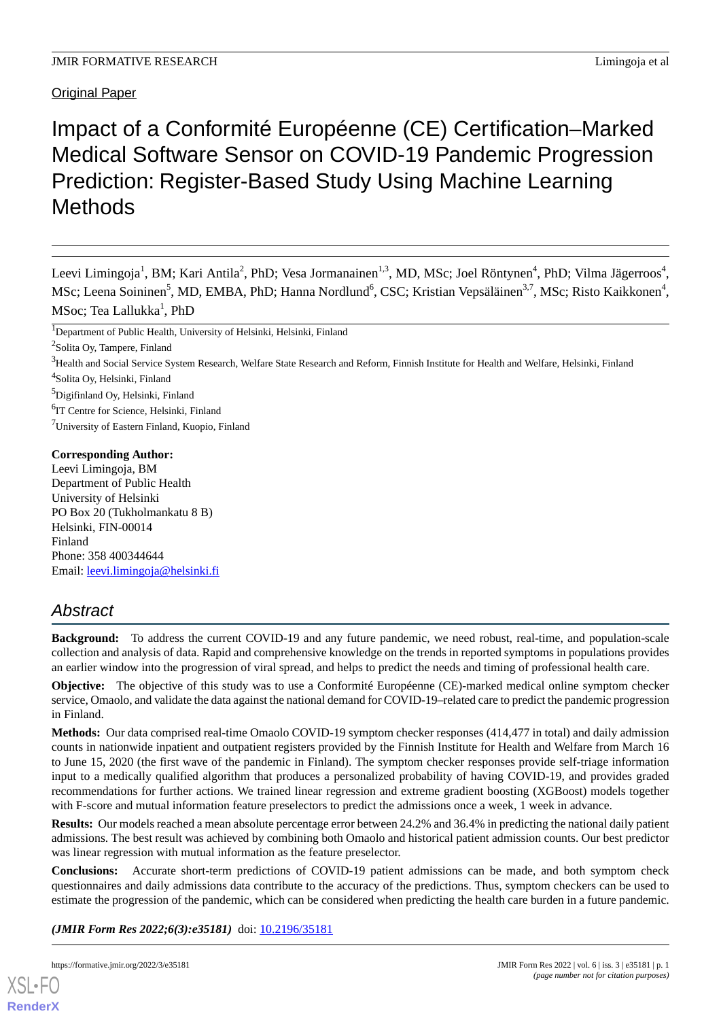Original Paper

## Impact of a Conformité Européenne (CE) Certification–Marked Medical Software Sensor on COVID-19 Pandemic Progression Prediction: Register-Based Study Using Machine Learning **Methods**

Leevi Limingoja<sup>1</sup>, BM; Kari Antila<sup>2</sup>, PhD; Vesa Jormanainen<sup>1,3</sup>, MD, MSc; Joel Röntynen<sup>4</sup>, PhD; Vilma Jägerroos<sup>4</sup>, MSc; Leena Soininen<sup>5</sup>, MD, EMBA, PhD; Hanna Nordlund<sup>6</sup>, CSC; Kristian Vepsäläinen<sup>3,7</sup>, MSc; Risto Kaikkonen<sup>4</sup>, MSoc; Tea Lallukka<sup>1</sup>, PhD

<sup>1</sup>Department of Public Health, University of Helsinki, Helsinki, Finland

- <sup>3</sup>Health and Social Service System Research, Welfare State Research and Reform, Finnish Institute for Health and Welfare, Helsinki, Finland
- <sup>4</sup>Solita Oy, Helsinki, Finland

- 6 IT Centre for Science, Helsinki, Finland
- <sup>7</sup>University of Eastern Finland, Kuopio, Finland

#### **Corresponding Author:**

Leevi Limingoja, BM Department of Public Health University of Helsinki PO Box 20 (Tukholmankatu 8 B) Helsinki, FIN-00014 Finland Phone: 358 400344644 Email: [leevi.limingoja@helsinki.fi](mailto:leevi.limingoja@helsinki.fi)

## *Abstract*

**Background:** To address the current COVID-19 and any future pandemic, we need robust, real-time, and population-scale collection and analysis of data. Rapid and comprehensive knowledge on the trends in reported symptoms in populations provides an earlier window into the progression of viral spread, and helps to predict the needs and timing of professional health care.

**Objective:** The objective of this study was to use a Conformité Européenne (CE)-marked medical online symptom checker service, Omaolo, and validate the data against the national demand for COVID-19–related care to predict the pandemic progression in Finland.

**Methods:** Our data comprised real-time Omaolo COVID-19 symptom checker responses (414,477 in total) and daily admission counts in nationwide inpatient and outpatient registers provided by the Finnish Institute for Health and Welfare from March 16 to June 15, 2020 (the first wave of the pandemic in Finland). The symptom checker responses provide self-triage information input to a medically qualified algorithm that produces a personalized probability of having COVID-19, and provides graded recommendations for further actions. We trained linear regression and extreme gradient boosting (XGBoost) models together with F-score and mutual information feature preselectors to predict the admissions once a week, 1 week in advance.

**Results:** Our models reached a mean absolute percentage error between 24.2% and 36.4% in predicting the national daily patient admissions. The best result was achieved by combining both Omaolo and historical patient admission counts. Our best predictor was linear regression with mutual information as the feature preselector.

**Conclusions:** Accurate short-term predictions of COVID-19 patient admissions can be made, and both symptom check questionnaires and daily admissions data contribute to the accuracy of the predictions. Thus, symptom checkers can be used to estimate the progression of the pandemic, which can be considered when predicting the health care burden in a future pandemic.

*(JMIR Form Res 2022;6(3):e35181)* doi: [10.2196/35181](http://dx.doi.org/10.2196/35181)



<sup>&</sup>lt;sup>2</sup>Solita Oy, Tampere, Finland

<sup>5</sup>Digifinland Oy, Helsinki, Finland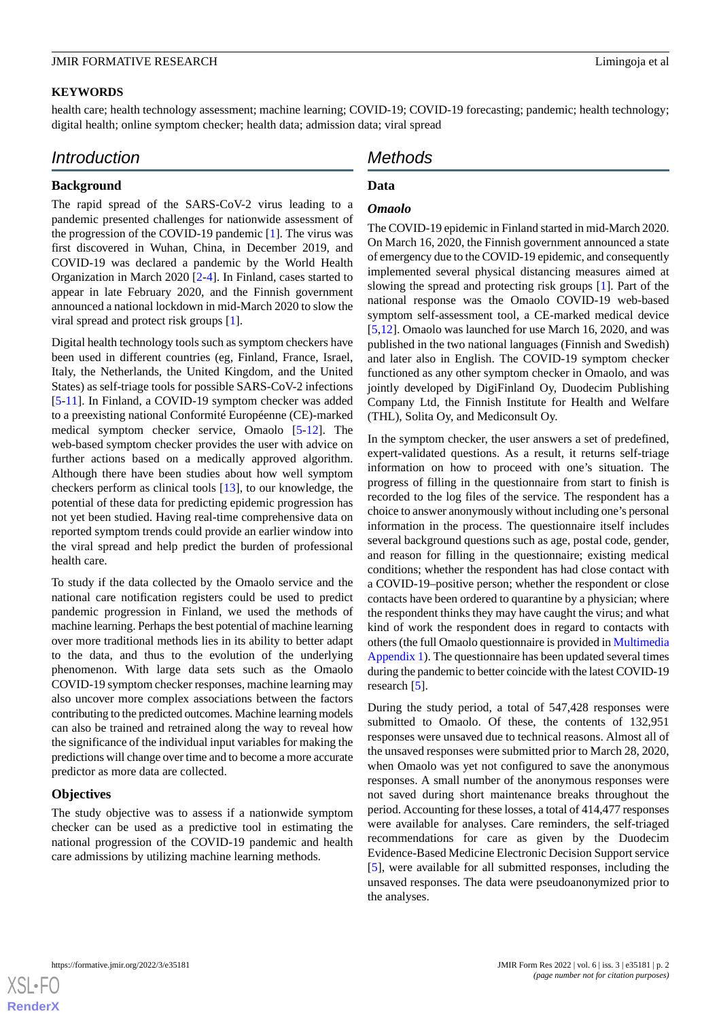#### **KEYWORDS**

health care; health technology assessment; machine learning; COVID-19; COVID-19 forecasting; pandemic; health technology; digital health; online symptom checker; health data; admission data; viral spread

## *Introduction*

## **Data**

## **Background**

The rapid spread of the SARS-CoV-2 virus leading to a pandemic presented challenges for nationwide assessment of the progression of the COVID-19 pandemic [[1\]](#page-8-0). The virus was first discovered in Wuhan, China, in December 2019, and COVID-19 was declared a pandemic by the World Health Organization in March 2020 [\[2](#page-8-1)-[4\]](#page-8-2). In Finland, cases started to appear in late February 2020, and the Finnish government announced a national lockdown in mid-March 2020 to slow the viral spread and protect risk groups [[1\]](#page-8-0).

Digital health technology tools such as symptom checkers have been used in different countries (eg, Finland, France, Israel, Italy, the Netherlands, the United Kingdom, and the United States) as self-triage tools for possible SARS-CoV-2 infections [[5](#page-8-3)[-11](#page-8-4)]. In Finland, a COVID-19 symptom checker was added to a preexisting national Conformité Européenne (CE)-marked medical symptom checker service, Omaolo [[5-](#page-8-3)[12](#page-8-5)]. The web-based symptom checker provides the user with advice on further actions based on a medically approved algorithm. Although there have been studies about how well symptom checkers perform as clinical tools [[13\]](#page-8-6), to our knowledge, the potential of these data for predicting epidemic progression has not yet been studied. Having real-time comprehensive data on reported symptom trends could provide an earlier window into the viral spread and help predict the burden of professional health care.

To study if the data collected by the Omaolo service and the national care notification registers could be used to predict pandemic progression in Finland, we used the methods of machine learning. Perhaps the best potential of machine learning over more traditional methods lies in its ability to better adapt to the data, and thus to the evolution of the underlying phenomenon. With large data sets such as the Omaolo COVID-19 symptom checker responses, machine learning may also uncover more complex associations between the factors contributing to the predicted outcomes. Machine learning models can also be trained and retrained along the way to reveal how the significance of the individual input variables for making the predictions will change over time and to become a more accurate predictor as more data are collected.

## **Objectives**

The study objective was to assess if a nationwide symptom checker can be used as a predictive tool in estimating the national progression of the COVID-19 pandemic and health care admissions by utilizing machine learning methods.

# *Methods*

## *Omaolo*

The COVID-19 epidemic in Finland started in mid-March 2020. On March 16, 2020, the Finnish government announced a state of emergency due to the COVID-19 epidemic, and consequently implemented several physical distancing measures aimed at slowing the spread and protecting risk groups [[1\]](#page-8-0). Part of the national response was the Omaolo COVID-19 web-based symptom self-assessment tool, a CE-marked medical device [[5](#page-8-3)[,12](#page-8-5)]. Omaolo was launched for use March 16, 2020, and was published in the two national languages (Finnish and Swedish) and later also in English. The COVID-19 symptom checker functioned as any other symptom checker in Omaolo, and was jointly developed by DigiFinland Oy, Duodecim Publishing Company Ltd, the Finnish Institute for Health and Welfare (THL), Solita Oy, and Mediconsult Oy.

In the symptom checker, the user answers a set of predefined, expert-validated questions. As a result, it returns self-triage information on how to proceed with one's situation. The progress of filling in the questionnaire from start to finish is recorded to the log files of the service. The respondent has a choice to answer anonymously without including one's personal information in the process. The questionnaire itself includes several background questions such as age, postal code, gender, and reason for filling in the questionnaire; existing medical conditions; whether the respondent has had close contact with a COVID-19–positive person; whether the respondent or close contacts have been ordered to quarantine by a physician; where the respondent thinks they may have caught the virus; and what kind of work the respondent does in regard to contacts with others (the full Omaolo questionnaire is provided in [Multimedia](#page-7-0) [Appendix 1](#page-7-0)). The questionnaire has been updated several times during the pandemic to better coincide with the latest COVID-19 research [[5\]](#page-8-3).

During the study period, a total of 547,428 responses were submitted to Omaolo. Of these, the contents of 132,951 responses were unsaved due to technical reasons. Almost all of the unsaved responses were submitted prior to March 28, 2020, when Omaolo was yet not configured to save the anonymous responses. A small number of the anonymous responses were not saved during short maintenance breaks throughout the period. Accounting for these losses, a total of 414,477 responses were available for analyses. Care reminders, the self-triaged recommendations for care as given by the Duodecim Evidence-Based Medicine Electronic Decision Support service [[5\]](#page-8-3), were available for all submitted responses, including the unsaved responses. The data were pseudoanonymized prior to the analyses.

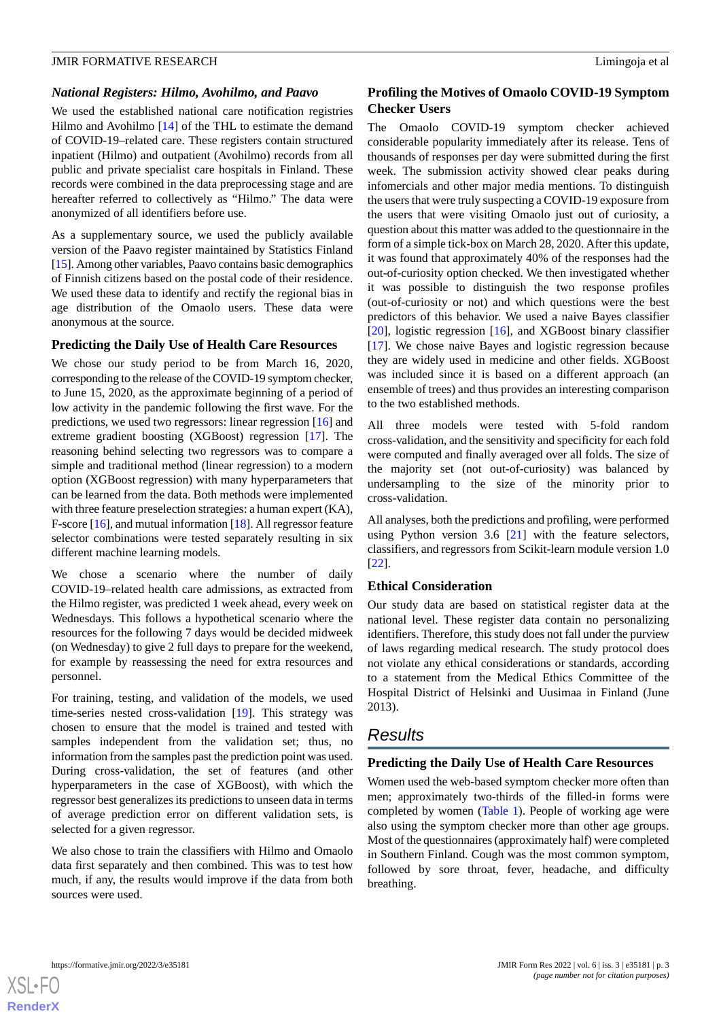#### *National Registers: Hilmo, Avohilmo, and Paavo*

We used the established national care notification registries Hilmo and Avohilmo [[14\]](#page-8-7) of the THL to estimate the demand of COVID-19–related care. These registers contain structured inpatient (Hilmo) and outpatient (Avohilmo) records from all public and private specialist care hospitals in Finland. These records were combined in the data preprocessing stage and are hereafter referred to collectively as "Hilmo." The data were anonymized of all identifiers before use.

As a supplementary source, we used the publicly available version of the Paavo register maintained by Statistics Finland [[15\]](#page-8-8). Among other variables, Paavo contains basic demographics of Finnish citizens based on the postal code of their residence. We used these data to identify and rectify the regional bias in age distribution of the Omaolo users. These data were anonymous at the source.

#### **Predicting the Daily Use of Health Care Resources**

We chose our study period to be from March 16, 2020, corresponding to the release of the COVID-19 symptom checker, to June 15, 2020, as the approximate beginning of a period of low activity in the pandemic following the first wave. For the predictions, we used two regressors: linear regression [[16\]](#page-8-9) and extreme gradient boosting (XGBoost) regression [\[17](#page-8-10)]. The reasoning behind selecting two regressors was to compare a simple and traditional method (linear regression) to a modern option (XGBoost regression) with many hyperparameters that can be learned from the data. Both methods were implemented with three feature preselection strategies: a human expert (KA), F-score [[16\]](#page-8-9), and mutual information [\[18](#page-8-11)]. All regressor feature selector combinations were tested separately resulting in six different machine learning models.

We chose a scenario where the number of daily COVID-19–related health care admissions, as extracted from the Hilmo register, was predicted 1 week ahead, every week on Wednesdays. This follows a hypothetical scenario where the resources for the following 7 days would be decided midweek (on Wednesday) to give 2 full days to prepare for the weekend, for example by reassessing the need for extra resources and personnel.

For training, testing, and validation of the models, we used time-series nested cross-validation [[19\]](#page-8-12). This strategy was chosen to ensure that the model is trained and tested with samples independent from the validation set; thus, no information from the samples past the prediction point was used. During cross-validation, the set of features (and other hyperparameters in the case of XGBoost), with which the regressor best generalizes its predictions to unseen data in terms of average prediction error on different validation sets, is selected for a given regressor.

We also chose to train the classifiers with Hilmo and Omaolo data first separately and then combined. This was to test how much, if any, the results would improve if the data from both sources were used.

#### **Profiling the Motives of Omaolo COVID-19 Symptom Checker Users**

The Omaolo COVID-19 symptom checker achieved considerable popularity immediately after its release. Tens of thousands of responses per day were submitted during the first week. The submission activity showed clear peaks during infomercials and other major media mentions. To distinguish the users that were truly suspecting a COVID-19 exposure from the users that were visiting Omaolo just out of curiosity, a question about this matter was added to the questionnaire in the form of a simple tick-box on March 28, 2020. After this update, it was found that approximately 40% of the responses had the out-of-curiosity option checked. We then investigated whether it was possible to distinguish the two response profiles (out-of-curiosity or not) and which questions were the best predictors of this behavior. We used a naive Bayes classifier [[20\]](#page-8-13), logistic regression [[16\]](#page-8-9), and XGBoost binary classifier [[17\]](#page-8-10). We chose naive Bayes and logistic regression because they are widely used in medicine and other fields. XGBoost was included since it is based on a different approach (an ensemble of trees) and thus provides an interesting comparison to the two established methods.

All three models were tested with 5-fold random cross-validation, and the sensitivity and specificity for each fold were computed and finally averaged over all folds. The size of the majority set (not out-of-curiosity) was balanced by undersampling to the size of the minority prior to cross-validation.

All analyses, both the predictions and profiling, were performed using Python version 3.6 [[21\]](#page-8-14) with the feature selectors, classifiers, and regressors from Scikit-learn module version 1.0 [[22\]](#page-8-15).

#### **Ethical Consideration**

Our study data are based on statistical register data at the national level. These register data contain no personalizing identifiers. Therefore, this study does not fall under the purview of laws regarding medical research. The study protocol does not violate any ethical considerations or standards, according to a statement from the Medical Ethics Committee of the Hospital District of Helsinki and Uusimaa in Finland (June 2013).

## *Results*

#### **Predicting the Daily Use of Health Care Resources**

Women used the web-based symptom checker more often than men; approximately two-thirds of the filled-in forms were completed by women ([Table 1](#page-3-0)). People of working age were also using the symptom checker more than other age groups. Most of the questionnaires (approximately half) were completed in Southern Finland. Cough was the most common symptom, followed by sore throat, fever, headache, and difficulty breathing.

 $XS$  $\cdot$ FC **[RenderX](http://www.renderx.com/)**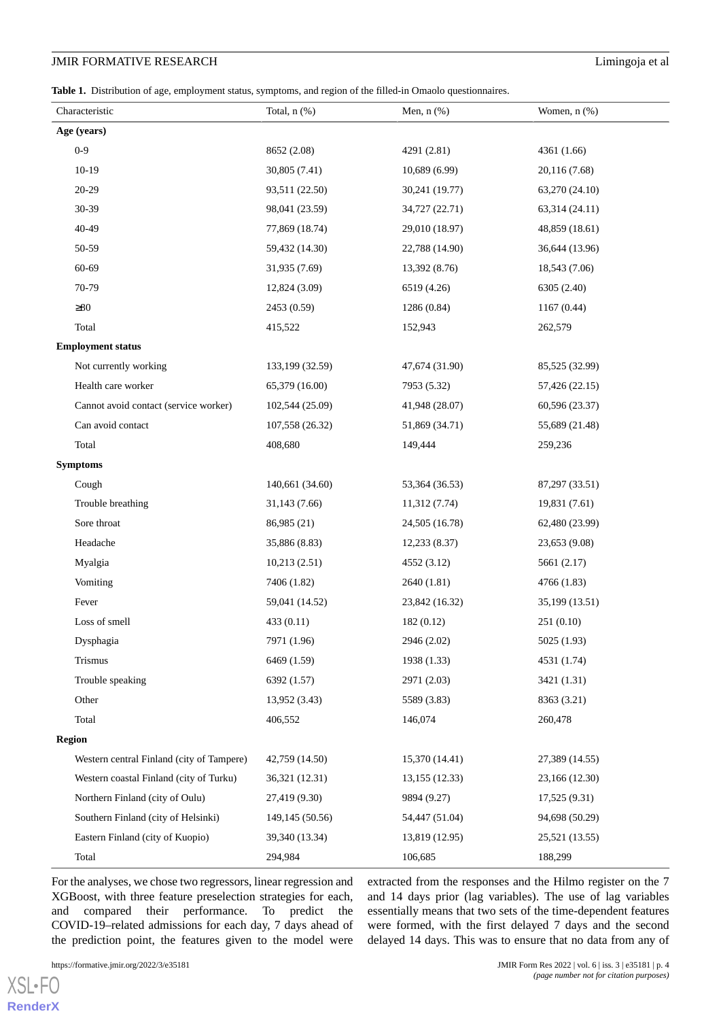<span id="page-3-0"></span>**Table 1.** Distribution of age, employment status, symptoms, and region of the filled-in Omaolo questionnaires.

| Characteristic                            | Total, $n$ $(\%)$ | Men, $n$ $(\%)$ | Women, n (%)   |
|-------------------------------------------|-------------------|-----------------|----------------|
| Age (years)                               |                   |                 |                |
| $0 - 9$                                   | 8652 (2.08)       | 4291 (2.81)     | 4361 (1.66)    |
| $10-19$                                   | 30,805 (7.41)     | 10,689 (6.99)   | 20,116 (7.68)  |
| $20 - 29$                                 | 93,511 (22.50)    | 30,241 (19.77)  | 63,270 (24.10) |
| 30-39                                     | 98,041 (23.59)    | 34,727 (22.71)  | 63,314 (24.11) |
| 40-49                                     | 77,869 (18.74)    | 29,010 (18.97)  | 48,859 (18.61) |
| 50-59                                     | 59,432 (14.30)    | 22,788 (14.90)  | 36,644 (13.96) |
| 60-69                                     | 31,935 (7.69)     | 13,392 (8.76)   | 18,543 (7.06)  |
| 70-79                                     | 12,824 (3.09)     | 6519 (4.26)     | 6305 (2.40)    |
| $\geq 80$                                 | 2453 (0.59)       | 1286 (0.84)     | 1167(0.44)     |
| Total                                     | 415,522           | 152,943         | 262,579        |
| <b>Employment status</b>                  |                   |                 |                |
| Not currently working                     | 133,199 (32.59)   | 47,674 (31.90)  | 85,525 (32.99) |
| Health care worker                        | 65,379 (16.00)    | 7953 (5.32)     | 57,426 (22.15) |
| Cannot avoid contact (service worker)     | 102,544 (25.09)   | 41,948 (28.07)  | 60,596 (23.37) |
| Can avoid contact                         | 107,558 (26.32)   | 51,869 (34.71)  | 55,689 (21.48) |
| Total                                     | 408,680           | 149,444         | 259,236        |
| <b>Symptoms</b>                           |                   |                 |                |
| Cough                                     | 140,661 (34.60)   | 53,364 (36.53)  | 87,297 (33.51) |
| Trouble breathing                         | 31,143 (7.66)     | 11,312 (7.74)   | 19,831 (7.61)  |
| Sore throat                               | 86,985 (21)       | 24,505 (16.78)  | 62,480 (23.99) |
| Headache                                  | 35,886 (8.83)     | 12,233 (8.37)   | 23,653 (9.08)  |
| Myalgia                                   | 10,213(2.51)      | 4552 (3.12)     | 5661 (2.17)    |
| Vomiting                                  | 7406 (1.82)       | 2640 (1.81)     | 4766 (1.83)    |
| Fever                                     | 59,041 (14.52)    | 23,842 (16.32)  | 35,199 (13.51) |
| Loss of smell                             | 433 (0.11)        | 182(0.12)       | 251(0.10)      |
| Dysphagia                                 | 7971 (1.96)       | 2946 (2.02)     | 5025 (1.93)    |
| Trismus                                   | 6469 (1.59)       | 1938 (1.33)     | 4531 (1.74)    |
| Trouble speaking                          | 6392 (1.57)       | 2971 (2.03)     | 3421 (1.31)    |
| Other                                     | 13,952(3.43)      | 5589 (3.83)     | 8363 (3.21)    |
| Total                                     | 406,552           | 146,074         | 260,478        |
| <b>Region</b>                             |                   |                 |                |
| Western central Finland (city of Tampere) | 42,759 (14.50)    | 15,370 (14.41)  | 27,389 (14.55) |
| Western coastal Finland (city of Turku)   | 36,321 (12.31)    | 13,155 (12.33)  | 23,166 (12.30) |
| Northern Finland (city of Oulu)           | 27,419 (9.30)     | 9894 (9.27)     | 17,525(9.31)   |
| Southern Finland (city of Helsinki)       | 149,145 (50.56)   | 54,447 (51.04)  | 94,698 (50.29) |
| Eastern Finland (city of Kuopio)          | 39,340 (13.34)    | 13,819 (12.95)  | 25,521 (13.55) |
| Total                                     | 294,984           | 106,685         | 188,299        |

For the analyses, we chose two regressors, linear regression and XGBoost, with three feature preselection strategies for each, and compared their performance. To predict the COVID-19–related admissions for each day, 7 days ahead of the prediction point, the features given to the model were

[XSL](http://www.w3.org/Style/XSL)•FO **[RenderX](http://www.renderx.com/)** extracted from the responses and the Hilmo register on the 7 and 14 days prior (lag variables). The use of lag variables essentially means that two sets of the time-dependent features were formed, with the first delayed 7 days and the second delayed 14 days. This was to ensure that no data from any of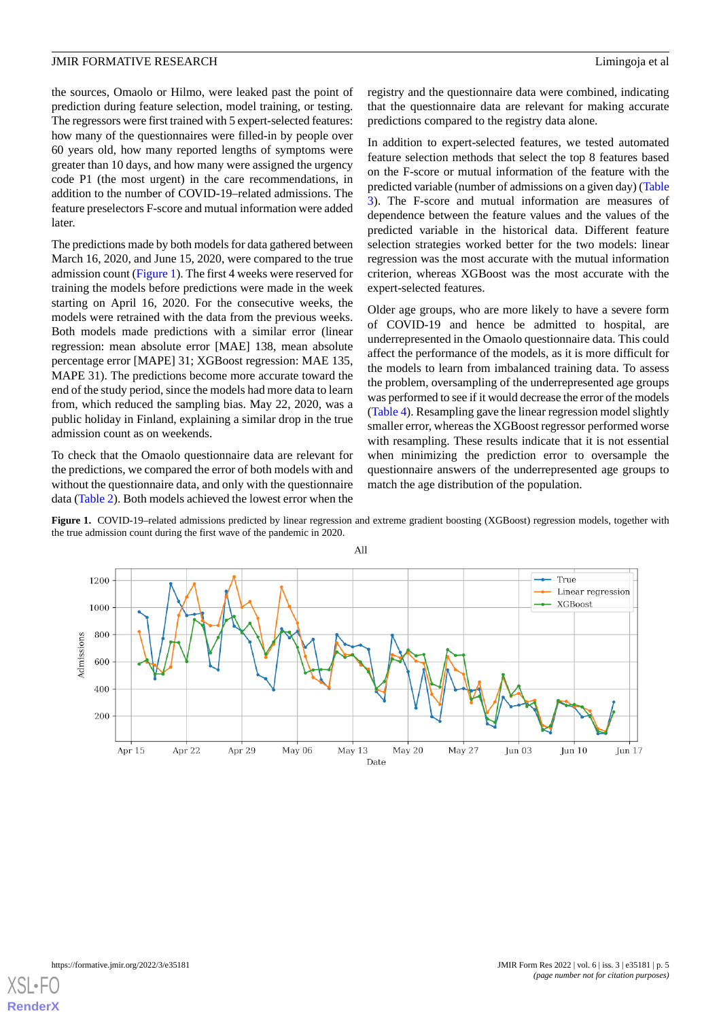the sources, Omaolo or Hilmo, were leaked past the point of prediction during feature selection, model training, or testing. The regressors were first trained with 5 expert-selected features: how many of the questionnaires were filled-in by people over 60 years old, how many reported lengths of symptoms were greater than 10 days, and how many were assigned the urgency code P1 (the most urgent) in the care recommendations, in addition to the number of COVID-19–related admissions. The feature preselectors F-score and mutual information were added later.

The predictions made by both models for data gathered between March 16, 2020, and June 15, 2020, were compared to the true admission count ([Figure 1\)](#page-4-0). The first 4 weeks were reserved for training the models before predictions were made in the week starting on April 16, 2020. For the consecutive weeks, the models were retrained with the data from the previous weeks. Both models made predictions with a similar error (linear regression: mean absolute error [MAE] 138, mean absolute percentage error [MAPE] 31; XGBoost regression: MAE 135, MAPE 31). The predictions become more accurate toward the end of the study period, since the models had more data to learn from, which reduced the sampling bias. May 22, 2020, was a public holiday in Finland, explaining a similar drop in the true admission count as on weekends.

<span id="page-4-0"></span>To check that the Omaolo questionnaire data are relevant for the predictions, we compared the error of both models with and without the questionnaire data, and only with the questionnaire data ([Table 2\)](#page-5-0). Both models achieved the lowest error when the

registry and the questionnaire data were combined, indicating that the questionnaire data are relevant for making accurate predictions compared to the registry data alone.

In addition to expert-selected features, we tested automated feature selection methods that select the top 8 features based on the F-score or mutual information of the feature with the predicted variable (number of admissions on a given day) [\(Table](#page-5-1) [3\)](#page-5-1). The F-score and mutual information are measures of dependence between the feature values and the values of the predicted variable in the historical data. Different feature selection strategies worked better for the two models: linear regression was the most accurate with the mutual information criterion, whereas XGBoost was the most accurate with the expert-selected features.

Older age groups, who are more likely to have a severe form of COVID-19 and hence be admitted to hospital, are underrepresented in the Omaolo questionnaire data. This could affect the performance of the models, as it is more difficult for the models to learn from imbalanced training data. To assess the problem, oversampling of the underrepresented age groups was performed to see if it would decrease the error of the models ([Table 4\)](#page-5-2). Resampling gave the linear regression model slightly smaller error, whereas the XGBoost regressor performed worse with resampling. These results indicate that it is not essential when minimizing the prediction error to oversample the questionnaire answers of the underrepresented age groups to match the age distribution of the population.

Figure 1. COVID-19–related admissions predicted by linear regression and extreme gradient boosting (XGBoost) regression models, together with the true admission count during the first wave of the pandemic in 2020.



[XSL](http://www.w3.org/Style/XSL)•FO **[RenderX](http://www.renderx.com/)**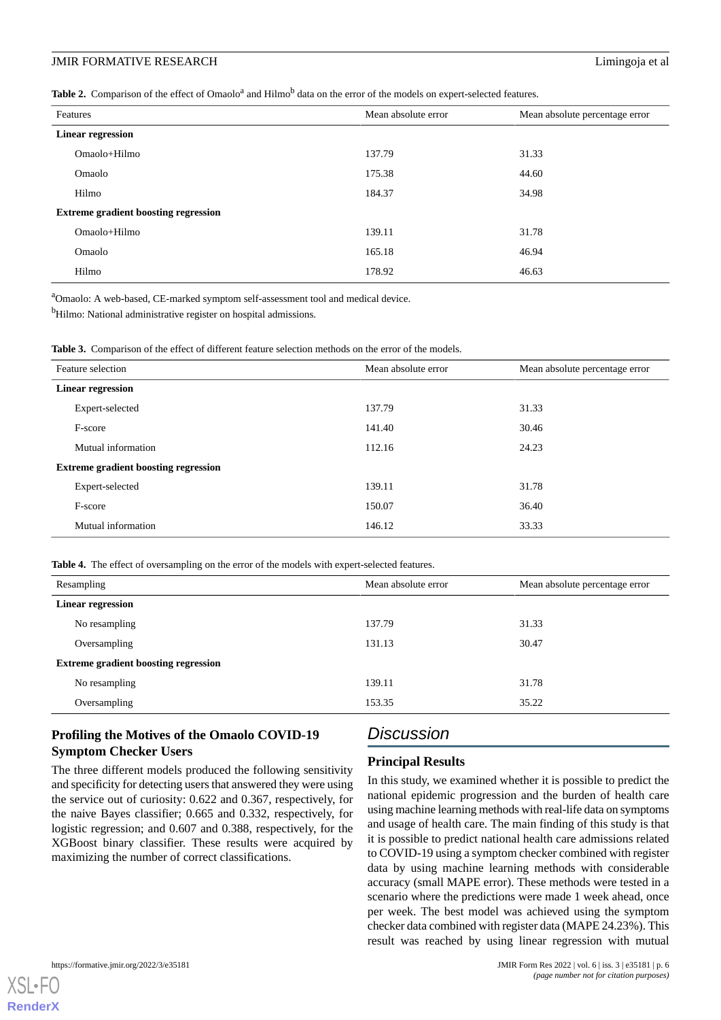<span id="page-5-0"></span>Table 2. Comparison of the effect of Omaolo<sup>a</sup> and Hilmo<sup>b</sup> data on the error of the models on expert-selected features.

| Mean absolute error<br>Mean absolute percentage error<br>Omaolo+Hilmo<br>31.33<br>137.79<br>175.38<br>44.60<br>Omaolo<br>34.98<br>Hilmo<br>184.37<br>31.78<br>Omaolo+Hilmo<br>139.11<br>Omaolo<br>46.94<br>165.18<br>Hilmo<br>46.63<br>178.92 |                                             |  |  |
|-----------------------------------------------------------------------------------------------------------------------------------------------------------------------------------------------------------------------------------------------|---------------------------------------------|--|--|
|                                                                                                                                                                                                                                               | Features                                    |  |  |
|                                                                                                                                                                                                                                               | <b>Linear regression</b>                    |  |  |
|                                                                                                                                                                                                                                               |                                             |  |  |
|                                                                                                                                                                                                                                               |                                             |  |  |
|                                                                                                                                                                                                                                               |                                             |  |  |
|                                                                                                                                                                                                                                               | <b>Extreme gradient boosting regression</b> |  |  |
|                                                                                                                                                                                                                                               |                                             |  |  |
|                                                                                                                                                                                                                                               |                                             |  |  |
|                                                                                                                                                                                                                                               |                                             |  |  |

<sup>a</sup>Omaolo: A web-based, CE-marked symptom self-assessment tool and medical device.

<span id="page-5-1"></span><sup>b</sup>Hilmo: National administrative register on hospital admissions.

**Table 3.** Comparison of the effect of different feature selection methods on the error of the models.

|                                             | Feature selection  | Mean absolute error | Mean absolute percentage error |
|---------------------------------------------|--------------------|---------------------|--------------------------------|
| <b>Linear regression</b>                    |                    |                     |                                |
|                                             | Expert-selected    | 137.79              | 31.33                          |
|                                             | F-score            | 141.40              | 30.46                          |
|                                             | Mutual information | 112.16              | 24.23                          |
| <b>Extreme gradient boosting regression</b> |                    |                     |                                |
|                                             | Expert-selected    | 139.11              | 31.78                          |
|                                             | F-score            | 150.07              | 36.40                          |
|                                             | Mutual information | 146.12              | 33.33                          |

<span id="page-5-2"></span>**Table 4.** The effect of oversampling on the error of the models with expert-selected features.

| Resampling                                  | Mean absolute error | Mean absolute percentage error |  |
|---------------------------------------------|---------------------|--------------------------------|--|
| <b>Linear regression</b>                    |                     |                                |  |
| No resampling                               | 137.79              | 31.33                          |  |
| Oversampling                                | 131.13              | 30.47                          |  |
| <b>Extreme gradient boosting regression</b> |                     |                                |  |
| No resampling                               | 139.11              | 31.78                          |  |
| Oversampling                                | 153.35              | 35.22                          |  |

## **Profiling the Motives of the Omaolo COVID-19 Symptom Checker Users**

The three different models produced the following sensitivity and specificity for detecting users that answered they were using the service out of curiosity: 0.622 and 0.367, respectively, for the naive Bayes classifier; 0.665 and 0.332, respectively, for logistic regression; and 0.607 and 0.388, respectively, for the XGBoost binary classifier. These results were acquired by maximizing the number of correct classifications.

## *Discussion*

## **Principal Results**

In this study, we examined whether it is possible to predict the national epidemic progression and the burden of health care using machine learning methods with real-life data on symptoms and usage of health care. The main finding of this study is that it is possible to predict national health care admissions related to COVID-19 using a symptom checker combined with register data by using machine learning methods with considerable accuracy (small MAPE error). These methods were tested in a scenario where the predictions were made 1 week ahead, once per week. The best model was achieved using the symptom checker data combined with register data (MAPE 24.23%). This result was reached by using linear regression with mutual

[XSL](http://www.w3.org/Style/XSL)•FO **[RenderX](http://www.renderx.com/)**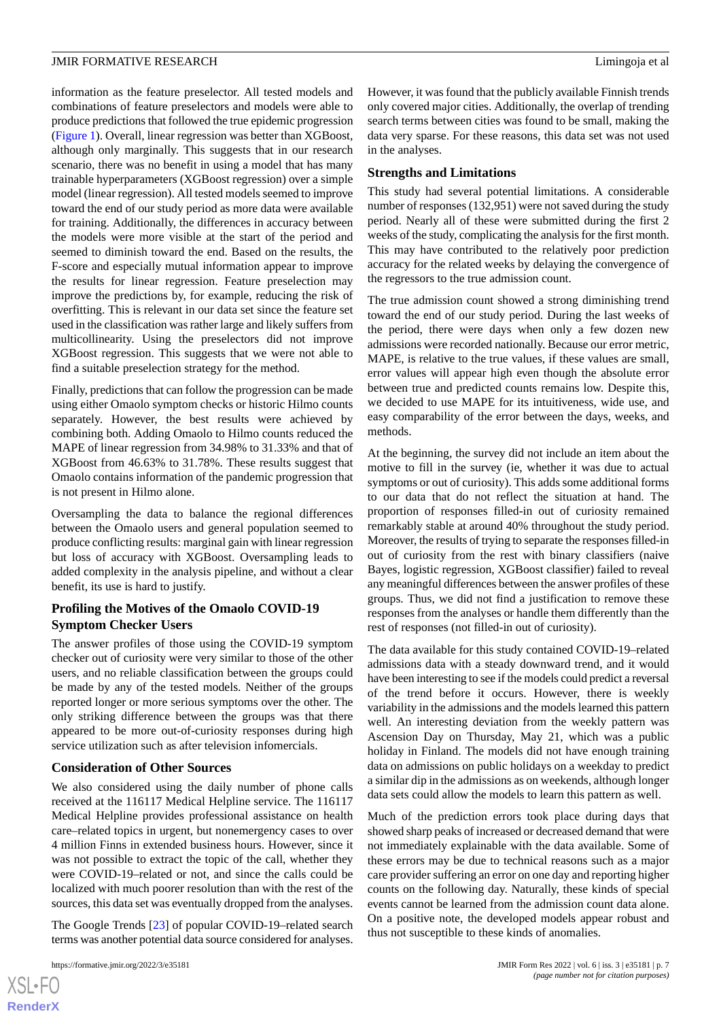information as the feature preselector. All tested models and combinations of feature preselectors and models were able to produce predictions that followed the true epidemic progression ([Figure 1](#page-4-0)). Overall, linear regression was better than XGBoost, although only marginally. This suggests that in our research scenario, there was no benefit in using a model that has many trainable hyperparameters (XGBoost regression) over a simple model (linear regression). All tested models seemed to improve toward the end of our study period as more data were available for training. Additionally, the differences in accuracy between the models were more visible at the start of the period and seemed to diminish toward the end. Based on the results, the F-score and especially mutual information appear to improve the results for linear regression. Feature preselection may improve the predictions by, for example, reducing the risk of overfitting. This is relevant in our data set since the feature set used in the classification was rather large and likely suffers from multicollinearity. Using the preselectors did not improve XGBoost regression. This suggests that we were not able to find a suitable preselection strategy for the method.

Finally, predictions that can follow the progression can be made using either Omaolo symptom checks or historic Hilmo counts separately. However, the best results were achieved by combining both. Adding Omaolo to Hilmo counts reduced the MAPE of linear regression from 34.98% to 31.33% and that of XGBoost from 46.63% to 31.78%. These results suggest that Omaolo contains information of the pandemic progression that is not present in Hilmo alone.

Oversampling the data to balance the regional differences between the Omaolo users and general population seemed to produce conflicting results: marginal gain with linear regression but loss of accuracy with XGBoost. Oversampling leads to added complexity in the analysis pipeline, and without a clear benefit, its use is hard to justify.

### **Profiling the Motives of the Omaolo COVID-19 Symptom Checker Users**

The answer profiles of those using the COVID-19 symptom checker out of curiosity were very similar to those of the other users, and no reliable classification between the groups could be made by any of the tested models. Neither of the groups reported longer or more serious symptoms over the other. The only striking difference between the groups was that there appeared to be more out-of-curiosity responses during high service utilization such as after television infomercials.

#### **Consideration of Other Sources**

We also considered using the daily number of phone calls received at the 116117 Medical Helpline service. The 116117 Medical Helpline provides professional assistance on health care–related topics in urgent, but nonemergency cases to over 4 million Finns in extended business hours. However, since it was not possible to extract the topic of the call, whether they were COVID-19–related or not, and since the calls could be localized with much poorer resolution than with the rest of the sources, this data set was eventually dropped from the analyses.

The Google Trends [\[23](#page-8-16)] of popular COVID-19–related search terms was another potential data source considered for analyses.

[XSL](http://www.w3.org/Style/XSL)•FO **[RenderX](http://www.renderx.com/)** However, it was found that the publicly available Finnish trends only covered major cities. Additionally, the overlap of trending search terms between cities was found to be small, making the data very sparse. For these reasons, this data set was not used in the analyses.

#### **Strengths and Limitations**

This study had several potential limitations. A considerable number of responses (132,951) were not saved during the study period. Nearly all of these were submitted during the first 2 weeks of the study, complicating the analysis for the first month. This may have contributed to the relatively poor prediction accuracy for the related weeks by delaying the convergence of the regressors to the true admission count.

The true admission count showed a strong diminishing trend toward the end of our study period. During the last weeks of the period, there were days when only a few dozen new admissions were recorded nationally. Because our error metric, MAPE, is relative to the true values, if these values are small, error values will appear high even though the absolute error between true and predicted counts remains low. Despite this, we decided to use MAPE for its intuitiveness, wide use, and easy comparability of the error between the days, weeks, and methods.

At the beginning, the survey did not include an item about the motive to fill in the survey (ie, whether it was due to actual symptoms or out of curiosity). This adds some additional forms to our data that do not reflect the situation at hand. The proportion of responses filled-in out of curiosity remained remarkably stable at around 40% throughout the study period. Moreover, the results of trying to separate the responses filled-in out of curiosity from the rest with binary classifiers (naive Bayes, logistic regression, XGBoost classifier) failed to reveal any meaningful differences between the answer profiles of these groups. Thus, we did not find a justification to remove these responses from the analyses or handle them differently than the rest of responses (not filled-in out of curiosity).

The data available for this study contained COVID-19–related admissions data with a steady downward trend, and it would have been interesting to see if the models could predict a reversal of the trend before it occurs. However, there is weekly variability in the admissions and the models learned this pattern well. An interesting deviation from the weekly pattern was Ascension Day on Thursday, May 21, which was a public holiday in Finland. The models did not have enough training data on admissions on public holidays on a weekday to predict a similar dip in the admissions as on weekends, although longer data sets could allow the models to learn this pattern as well.

Much of the prediction errors took place during days that showed sharp peaks of increased or decreased demand that were not immediately explainable with the data available. Some of these errors may be due to technical reasons such as a major care provider suffering an error on one day and reporting higher counts on the following day. Naturally, these kinds of special events cannot be learned from the admission count data alone. On a positive note, the developed models appear robust and thus not susceptible to these kinds of anomalies.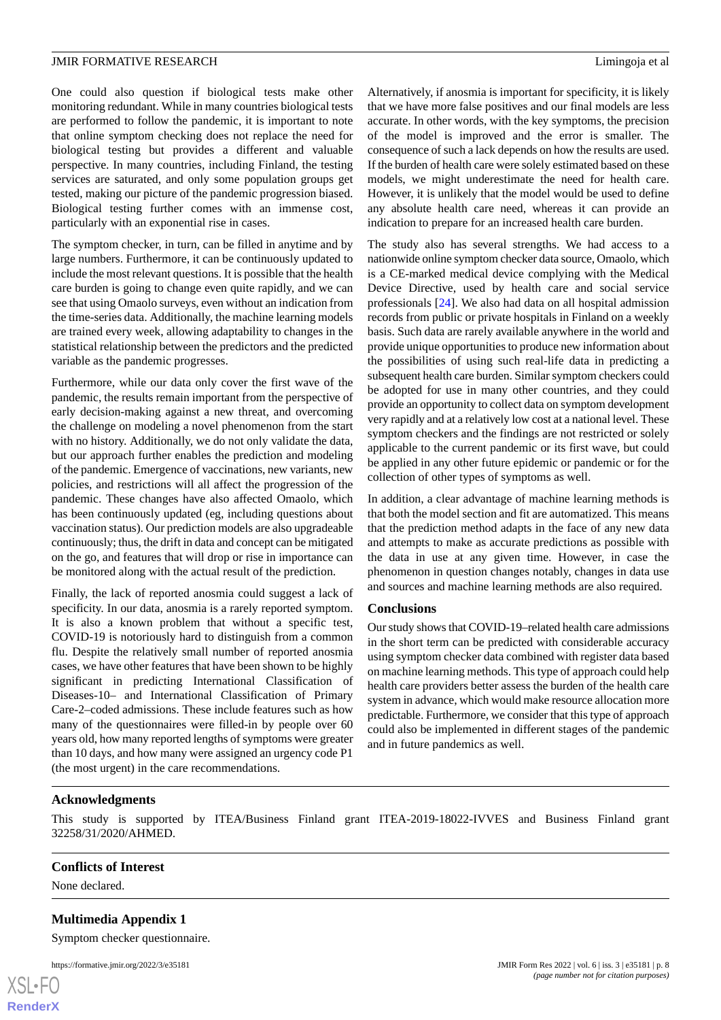One could also question if biological tests make other monitoring redundant. While in many countries biological tests are performed to follow the pandemic, it is important to note that online symptom checking does not replace the need for biological testing but provides a different and valuable perspective. In many countries, including Finland, the testing services are saturated, and only some population groups get tested, making our picture of the pandemic progression biased. Biological testing further comes with an immense cost, particularly with an exponential rise in cases.

The symptom checker, in turn, can be filled in anytime and by large numbers. Furthermore, it can be continuously updated to include the most relevant questions. It is possible that the health care burden is going to change even quite rapidly, and we can see that using Omaolo surveys, even without an indication from the time-series data. Additionally, the machine learning models are trained every week, allowing adaptability to changes in the statistical relationship between the predictors and the predicted variable as the pandemic progresses.

Furthermore, while our data only cover the first wave of the pandemic, the results remain important from the perspective of early decision-making against a new threat, and overcoming the challenge on modeling a novel phenomenon from the start with no history. Additionally, we do not only validate the data, but our approach further enables the prediction and modeling of the pandemic. Emergence of vaccinations, new variants, new policies, and restrictions will all affect the progression of the pandemic. These changes have also affected Omaolo, which has been continuously updated (eg, including questions about vaccination status). Our prediction models are also upgradeable continuously; thus, the drift in data and concept can be mitigated on the go, and features that will drop or rise in importance can be monitored along with the actual result of the prediction.

Finally, the lack of reported anosmia could suggest a lack of specificity. In our data, anosmia is a rarely reported symptom. It is also a known problem that without a specific test, COVID-19 is notoriously hard to distinguish from a common flu. Despite the relatively small number of reported anosmia cases, we have other features that have been shown to be highly significant in predicting International Classification of Diseases-10– and International Classification of Primary Care-2–coded admissions. These include features such as how many of the questionnaires were filled-in by people over 60 years old, how many reported lengths of symptoms were greater than 10 days, and how many were assigned an urgency code P1 (the most urgent) in the care recommendations.

Alternatively, if anosmia is important for specificity, it is likely that we have more false positives and our final models are less accurate. In other words, with the key symptoms, the precision of the model is improved and the error is smaller. The consequence of such a lack depends on how the results are used. If the burden of health care were solely estimated based on these models, we might underestimate the need for health care. However, it is unlikely that the model would be used to define any absolute health care need, whereas it can provide an indication to prepare for an increased health care burden.

The study also has several strengths. We had access to a nationwide online symptom checker data source, Omaolo*,* which is a CE-marked medical device complying with the Medical Device Directive, used by health care and social service professionals [\[24](#page-8-17)]. We also had data on all hospital admission records from public or private hospitals in Finland on a weekly basis. Such data are rarely available anywhere in the world and provide unique opportunities to produce new information about the possibilities of using such real-life data in predicting a subsequent health care burden. Similar symptom checkers could be adopted for use in many other countries, and they could provide an opportunity to collect data on symptom development very rapidly and at a relatively low cost at a national level. These symptom checkers and the findings are not restricted or solely applicable to the current pandemic or its first wave, but could be applied in any other future epidemic or pandemic or for the collection of other types of symptoms as well.

In addition, a clear advantage of machine learning methods is that both the model section and fit are automatized. This means that the prediction method adapts in the face of any new data and attempts to make as accurate predictions as possible with the data in use at any given time. However, in case the phenomenon in question changes notably, changes in data use and sources and machine learning methods are also required.

#### **Conclusions**

Our study shows that COVID-19–related health care admissions in the short term can be predicted with considerable accuracy using symptom checker data combined with register data based on machine learning methods. This type of approach could help health care providers better assess the burden of the health care system in advance, which would make resource allocation more predictable. Furthermore, we consider that this type of approach could also be implemented in different stages of the pandemic and in future pandemics as well.

#### **Acknowledgments**

<span id="page-7-0"></span>This study is supported by ITEA/Business Finland grant ITEA-2019-18022-IVVES and Business Finland grant 32258/31/2020/AHMED.

#### **Conflicts of Interest**

None declared.

#### **Multimedia Appendix 1**

Symptom checker questionnaire.

https://formative.jmir.org/2022/3/e35181 JMIR Form Res 2022 | vol. 6 | iss. 3 | e35181 | p. 8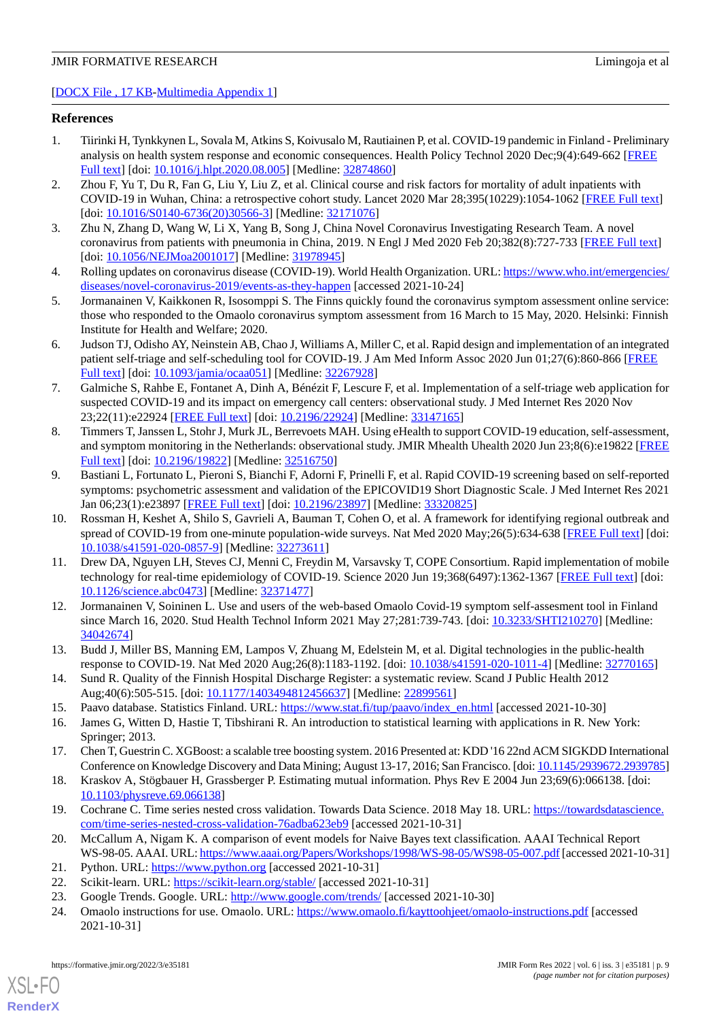#### [[DOCX File , 17 KB](https://jmir.org/api/download?alt_name=formative_v6i3e35181_app1.docx&filename=01cd4a313452f4d70d9fd993e91c21d4.docx)-[Multimedia Appendix 1\]](https://jmir.org/api/download?alt_name=formative_v6i3e35181_app1.docx&filename=01cd4a313452f4d70d9fd993e91c21d4.docx)

#### <span id="page-8-0"></span>**References**

- 1. Tiirinki H, Tynkkynen L, Sovala M, Atkins S, Koivusalo M, Rautiainen P, et al. COVID-19 pandemic in Finland Preliminary analysis on health system response and economic consequences. Health Policy Technol 2020 Dec;9(4):649-662 [\[FREE](http://europepmc.org/abstract/MED/32874860) [Full text\]](http://europepmc.org/abstract/MED/32874860) [doi: [10.1016/j.hlpt.2020.08.005\]](http://dx.doi.org/10.1016/j.hlpt.2020.08.005) [Medline: [32874860\]](http://www.ncbi.nlm.nih.gov/entrez/query.fcgi?cmd=Retrieve&db=PubMed&list_uids=32874860&dopt=Abstract)
- <span id="page-8-1"></span>2. Zhou F, Yu T, Du R, Fan G, Liu Y, Liu Z, et al. Clinical course and risk factors for mortality of adult inpatients with COVID-19 in Wuhan, China: a retrospective cohort study. Lancet 2020 Mar 28;395(10229):1054-1062 [[FREE Full text](http://europepmc.org/abstract/MED/32171076)] [doi: [10.1016/S0140-6736\(20\)30566-3](http://dx.doi.org/10.1016/S0140-6736(20)30566-3)] [Medline: [32171076\]](http://www.ncbi.nlm.nih.gov/entrez/query.fcgi?cmd=Retrieve&db=PubMed&list_uids=32171076&dopt=Abstract)
- <span id="page-8-2"></span>3. Zhu N, Zhang D, Wang W, Li X, Yang B, Song J, China Novel Coronavirus Investigating Research Team. A novel coronavirus from patients with pneumonia in China, 2019. N Engl J Med 2020 Feb 20;382(8):727-733 [[FREE Full text](http://europepmc.org/abstract/MED/31978945)] [doi: [10.1056/NEJMoa2001017\]](http://dx.doi.org/10.1056/NEJMoa2001017) [Medline: [31978945\]](http://www.ncbi.nlm.nih.gov/entrez/query.fcgi?cmd=Retrieve&db=PubMed&list_uids=31978945&dopt=Abstract)
- <span id="page-8-3"></span>4. Rolling updates on coronavirus disease (COVID-19). World Health Organization. URL: [https://www.who.int/emergencies/](https://www.who.int/emergencies/diseases/novel-coronavirus-2019/events-as-they-happen) [diseases/novel-coronavirus-2019/events-as-they-happen](https://www.who.int/emergencies/diseases/novel-coronavirus-2019/events-as-they-happen) [accessed 2021-10-24]
- 5. Jormanainen V, Kaikkonen R, Isosomppi S. The Finns quickly found the coronavirus symptom assessment online service: those who responded to the Omaolo coronavirus symptom assessment from 16 March to 15 May, 2020. Helsinki: Finnish Institute for Health and Welfare; 2020.
- 6. Judson TJ, Odisho AY, Neinstein AB, Chao J, Williams A, Miller C, et al. Rapid design and implementation of an integrated patient self-triage and self-scheduling tool for COVID-19. J Am Med Inform Assoc 2020 Jun 01;27(6):860-866 [[FREE](http://europepmc.org/abstract/MED/32267928) [Full text\]](http://europepmc.org/abstract/MED/32267928) [doi: [10.1093/jamia/ocaa051\]](http://dx.doi.org/10.1093/jamia/ocaa051) [Medline: [32267928\]](http://www.ncbi.nlm.nih.gov/entrez/query.fcgi?cmd=Retrieve&db=PubMed&list_uids=32267928&dopt=Abstract)
- 7. Galmiche S, Rahbe E, Fontanet A, Dinh A, Bénézit F, Lescure F, et al. Implementation of a self-triage web application for suspected COVID-19 and its impact on emergency call centers: observational study. J Med Internet Res 2020 Nov 23;22(11):e22924 [\[FREE Full text](https://www.jmir.org/2020/11/e22924/)] [doi: [10.2196/22924\]](http://dx.doi.org/10.2196/22924) [Medline: [33147165\]](http://www.ncbi.nlm.nih.gov/entrez/query.fcgi?cmd=Retrieve&db=PubMed&list_uids=33147165&dopt=Abstract)
- 8. Timmers T, Janssen L, Stohr J, Murk JL, Berrevoets MAH. Using eHealth to support COVID-19 education, self-assessment, and symptom monitoring in the Netherlands: observational study. JMIR Mhealth Uhealth 2020 Jun 23;8(6):e19822 [\[FREE](https://mhealth.jmir.org/2020/6/e19822/) [Full text\]](https://mhealth.jmir.org/2020/6/e19822/) [doi: [10.2196/19822\]](http://dx.doi.org/10.2196/19822) [Medline: [32516750](http://www.ncbi.nlm.nih.gov/entrez/query.fcgi?cmd=Retrieve&db=PubMed&list_uids=32516750&dopt=Abstract)]
- 9. Bastiani L, Fortunato L, Pieroni S, Bianchi F, Adorni F, Prinelli F, et al. Rapid COVID-19 screening based on self-reported symptoms: psychometric assessment and validation of the EPICOVID19 Short Diagnostic Scale. J Med Internet Res 2021 Jan 06;23(1):e23897 [[FREE Full text](https://www.jmir.org/2021/1/e23897/)] [doi: [10.2196/23897\]](http://dx.doi.org/10.2196/23897) [Medline: [33320825](http://www.ncbi.nlm.nih.gov/entrez/query.fcgi?cmd=Retrieve&db=PubMed&list_uids=33320825&dopt=Abstract)]
- <span id="page-8-4"></span>10. Rossman H, Keshet A, Shilo S, Gavrieli A, Bauman T, Cohen O, et al. A framework for identifying regional outbreak and spread of COVID-19 from one-minute population-wide surveys. Nat Med 2020 May;26(5):634-638 [\[FREE Full text](http://europepmc.org/abstract/MED/32273611)] [doi: [10.1038/s41591-020-0857-9\]](http://dx.doi.org/10.1038/s41591-020-0857-9) [Medline: [32273611](http://www.ncbi.nlm.nih.gov/entrez/query.fcgi?cmd=Retrieve&db=PubMed&list_uids=32273611&dopt=Abstract)]
- <span id="page-8-5"></span>11. Drew DA, Nguyen LH, Steves CJ, Menni C, Freydin M, Varsavsky T, COPE Consortium. Rapid implementation of mobile technology for real-time epidemiology of COVID-19. Science 2020 Jun 19;368(6497):1362-1367 [[FREE Full text](http://europepmc.org/abstract/MED/32371477)] [doi: [10.1126/science.abc0473\]](http://dx.doi.org/10.1126/science.abc0473) [Medline: [32371477](http://www.ncbi.nlm.nih.gov/entrez/query.fcgi?cmd=Retrieve&db=PubMed&list_uids=32371477&dopt=Abstract)]
- <span id="page-8-7"></span><span id="page-8-6"></span>12. Jormanainen V, Soininen L. Use and users of the web-based Omaolo Covid-19 symptom self-assesment tool in Finland since March 16, 2020. Stud Health Technol Inform 2021 May 27;281:739-743. [doi: [10.3233/SHTI210270](http://dx.doi.org/10.3233/SHTI210270)] [Medline: [34042674](http://www.ncbi.nlm.nih.gov/entrez/query.fcgi?cmd=Retrieve&db=PubMed&list_uids=34042674&dopt=Abstract)]
- <span id="page-8-9"></span><span id="page-8-8"></span>13. Budd J, Miller BS, Manning EM, Lampos V, Zhuang M, Edelstein M, et al. Digital technologies in the public-health response to COVID-19. Nat Med 2020 Aug;26(8):1183-1192. [doi: [10.1038/s41591-020-1011-4](http://dx.doi.org/10.1038/s41591-020-1011-4)] [Medline: [32770165](http://www.ncbi.nlm.nih.gov/entrez/query.fcgi?cmd=Retrieve&db=PubMed&list_uids=32770165&dopt=Abstract)]
- <span id="page-8-10"></span>14. Sund R. Quality of the Finnish Hospital Discharge Register: a systematic review. Scand J Public Health 2012 Aug;40(6):505-515. [doi: [10.1177/1403494812456637\]](http://dx.doi.org/10.1177/1403494812456637) [Medline: [22899561\]](http://www.ncbi.nlm.nih.gov/entrez/query.fcgi?cmd=Retrieve&db=PubMed&list_uids=22899561&dopt=Abstract)
- <span id="page-8-11"></span>15. Paavo database. Statistics Finland. URL: [https://www.stat.fi/tup/paavo/index\\_en.html](https://www.stat.fi/tup/paavo/index_en.html) [accessed 2021-10-30]
- <span id="page-8-12"></span>16. James G, Witten D, Hastie T, Tibshirani R. An introduction to statistical learning with applications in R. New York: Springer; 2013.
- <span id="page-8-13"></span>17. Chen T, Guestrin C. XGBoost: a scalable tree boosting system. 2016 Presented at: KDD '16 22nd ACM SIGKDD International Conference on Knowledge Discovery and Data Mining; August 13-17, 2016; San Francisco. [doi: [10.1145/2939672.2939785\]](http://dx.doi.org/10.1145/2939672.2939785)
- <span id="page-8-15"></span><span id="page-8-14"></span>18. Kraskov A, Stögbauer H, Grassberger P. Estimating mutual information. Phys Rev E 2004 Jun 23;69(6):066138. [doi: [10.1103/physreve.69.066138](http://dx.doi.org/10.1103/physreve.69.066138)]
- <span id="page-8-17"></span><span id="page-8-16"></span>19. Cochrane C. Time series nested cross validation. Towards Data Science. 2018 May 18. URL: [https://towardsdatascience.](https://towardsdatascience.com/time-series-nested-cross-validation-76adba623eb9) [com/time-series-nested-cross-validation-76adba623eb9](https://towardsdatascience.com/time-series-nested-cross-validation-76adba623eb9) [accessed 2021-10-31]
- 20. McCallum A, Nigam K. A comparison of event models for Naive Bayes text classification. AAAI Technical Report WS-98-05. AAAI. URL:<https://www.aaai.org/Papers/Workshops/1998/WS-98-05/WS98-05-007.pdf> [accessed 2021-10-31]
- 21. Python. URL:<https://www.python.org> [accessed 2021-10-31]
- 22. Scikit-learn. URL: <https://scikit-learn.org/stable/> [accessed 2021-10-31]
- 23. Google Trends. Google. URL: <http://www.google.com/trends/> [accessed 2021-10-30]
- 24. Omaolo instructions for use. Omaolo. URL:<https://www.omaolo.fi/kayttoohjeet/omaolo-instructions.pdf> [accessed 2021-10-31]

[XSL](http://www.w3.org/Style/XSL)•FO **[RenderX](http://www.renderx.com/)**